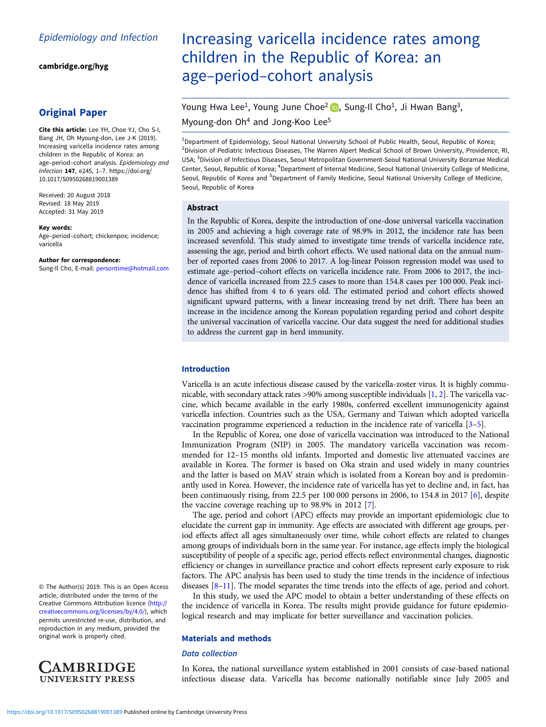[cambridge.org/hyg](https://www.cambridge.org/hyg)

# Original Paper

Cite this article: Lee YH, Choe YJ, Cho S-I, Bang JH, Oh Myoung-don, Lee J-K (2019). Increasing varicella incidence rates among children in the Republic of Korea: an age–period–cohort analysis. Epidemiology and Infection 147, e245, 1–7. [https://doi.org/](https://doi.org/10.1017/S0950268819001389) [10.1017/S0950268819001389](https://doi.org/10.1017/S0950268819001389)

Received: 20 August 2018 Revised: 18 May 2019 Accepted: 31 May 2019

#### Key words:

Age–period–cohort; chickenpox; incidence; varicella

#### Author for correspondence:

Sung-Il Cho, E-mail: [persontime@hotmail.com](mailto:persontime@hotmail.com)

© The Author(s) 2019. This is an Open Access article, distributed under the terms of the Creative Commons Attribution licence ([http://](http://creativecommons.org/licenses/by/4.0/) [creativecommons.org/licenses/by/4.0/](http://creativecommons.org/licenses/by/4.0/)), which permits unrestricted re-use, distribution, and reproduction in any medium, provided the original work is properly cited.



# Increasing varicella incidence rates among children in the Republic of Korea: an age–period–cohort analysis

# Young Hwa Lee<sup>1</sup>[,](https://orcid.org/0000-0003-4085-1494) Young June Choe<sup>2</sup> **D**, Sung-Il Cho<sup>1</sup>, Ji Hwan Bang<sup>3</sup>, Myoung-don Oh<sup>4</sup> and Jong-Koo Lee<sup>5</sup>

<sup>1</sup>Department of Epidemiology, Seoul National University School of Public Health, Seoul, Republic of Korea; <sup>2</sup>Division of Pediatric Infectious Diseases, The Warren Alpert Medical School of Brown University, Providence, RI, USA; <sup>3</sup>Division of Infectious Diseases, Seoul Metropolitan Government-Seoul National University Boramae Medical Center, Seoul, Republic of Korea; <sup>4</sup>Department of Internal Medicine, Seoul National University College of Medicine, Seoul, Republic of Korea and <sup>5</sup>Department of Family Medicine, Seoul National University College of Medicine, Seoul, Republic of Korea

#### Abstract

In the Republic of Korea, despite the introduction of one-dose universal varicella vaccination in 2005 and achieving a high coverage rate of 98.9% in 2012, the incidence rate has been increased sevenfold. This study aimed to investigate time trends of varicella incidence rate, assessing the age, period and birth cohort effects. We used national data on the annual number of reported cases from 2006 to 2017. A log-linear Poisson regression model was used to estimate age–period–cohort effects on varicella incidence rate. From 2006 to 2017, the incidence of varicella increased from 22.5 cases to more than 154.8 cases per 100 000. Peak incidence has shifted from 4 to 6 years old. The estimated period and cohort effects showed significant upward patterns, with a linear increasing trend by net drift. There has been an increase in the incidence among the Korean population regarding period and cohort despite the universal vaccination of varicella vaccine. Our data suggest the need for additional studies to address the current gap in herd immunity.

## Introduction

Varicella is an acute infectious disease caused by the varicella-zoster virus. It is highly communicable, with secondary attack rates  $>90\%$  among susceptible individuals [\[1,](#page-5-0) [2](#page-6-0)]. The varicella vaccine, which became available in the early 1980s, conferred excellent immunogenicity against varicella infection. Countries such as the USA, Germany and Taiwan which adopted varicella vaccination programme experienced a reduction in the incidence rate of varicella [\[3](#page-6-0)–[5\]](#page-6-0).

In the Republic of Korea, one dose of varicella vaccination was introduced to the National Immunization Program (NIP) in 2005. The mandatory varicella vaccination was recommended for 12–15 months old infants. Imported and domestic live attenuated vaccines are available in Korea. The former is based on Oka strain and used widely in many countries and the latter is based on MAV strain which is isolated from a Korean boy and is predominantly used in Korea. However, the incidence rate of varicella has yet to decline and, in fact, has been continuously rising, from 22.5 per 100 000 persons in 2006, to 154.8 in 2017 [\[6\]](#page-6-0), despite the vaccine coverage reaching up to 98.9% in 2012 [[7](#page-6-0)].

The age, period and cohort (APC) effects may provide an important epidemiologic clue to elucidate the current gap in immunity. Age effects are associated with different age groups, period effects affect all ages simultaneously over time, while cohort effects are related to changes among groups of individuals born in the same year. For instance, age effects imply the biological susceptibility of people of a specific age, period effects reflect environmental changes, diagnostic efficiency or changes in surveillance practice and cohort effects represent early exposure to risk factors. The APC analysis has been used to study the time trends in the incidence of infectious diseases [[8](#page-6-0)–[11\]](#page-6-0). The model separates the time trends into the effects of age, period and cohort.

In this study, we used the APC model to obtain a better understanding of these effects on the incidence of varicella in Korea. The results might provide guidance for future epidemiological research and may implicate for better surveillance and vaccination policies.

#### Materials and methods

#### Data collection

In Korea, the national surveillance system established in 2001 consists of case-based national infectious disease data. Varicella has become nationally notifiable since July 2005 and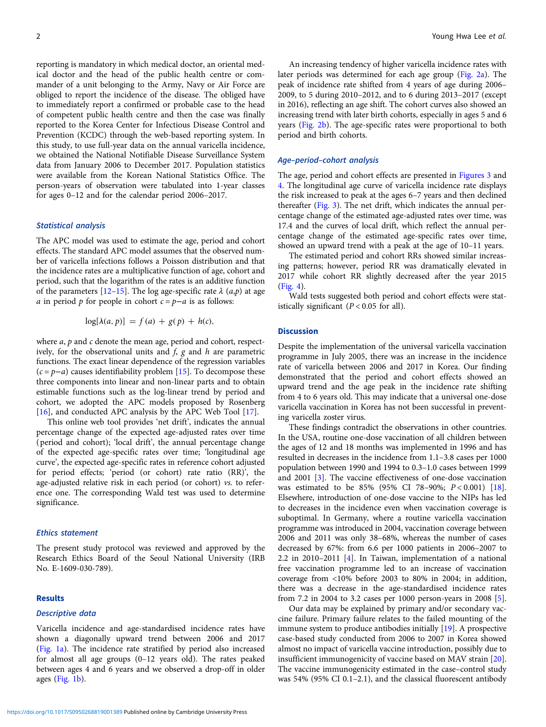reporting is mandatory in which medical doctor, an oriental medical doctor and the head of the public health centre or commander of a unit belonging to the Army, Navy or Air Force are obliged to report the incidence of the disease. The obliged have to immediately report a confirmed or probable case to the head of competent public health centre and then the case was finally reported to the Korea Center for Infectious Disease Control and Prevention (KCDC) through the web-based reporting system. In this study, to use full-year data on the annual varicella incidence, we obtained the National Notifiable Disease Surveillance System data from January 2006 to December 2017. Population statistics were available from the Korean National Statistics Office. The person-years of observation were tabulated into 1-year classes for ages 0–12 and for the calendar period 2006–2017.

### Statistical analysis

The APC model was used to estimate the age, period and cohort effects. The standard APC model assumes that the observed number of varicella infections follows a Poisson distribution and that the incidence rates are a multiplicative function of age, cohort and period, such that the logarithm of the rates is an additive function of the parameters [[12](#page-6-0)–[15\]](#page-6-0). The log age-specific rate  $\lambda$  (a,p) at age a in period p for people in cohort  $c = p-a$  is as follows:

$$
\log[\lambda(a, p)] = f(a) + g(p) + h(c),
$$

where  $a$ ,  $p$  and  $c$  denote the mean age, period and cohort, respectively, for the observational units and  $f$ ,  $g$  and  $h$  are parametric functions. The exact linear dependence of the regression variables  $(c = p - a)$  causes identifiability problem [[15\]](#page-6-0). To decompose these three components into linear and non-linear parts and to obtain estimable functions such as the log-linear trend by period and cohort, we adopted the APC models proposed by Rosenberg [[16](#page-6-0)], and conducted APC analysis by the APC Web Tool [\[17](#page-6-0)].

This online web tool provides 'net drift', indicates the annual percentage change of the expected age-adjusted rates over time (period and cohort); 'local drift', the annual percentage change of the expected age-specific rates over time; 'longitudinal age curve', the expected age-specific rates in reference cohort adjusted for period effects; 'period (or cohort) rate ratio (RR)', the age-adjusted relative risk in each period (or cohort) vs. to reference one. The corresponding Wald test was used to determine significance.

#### Ethics statement

The present study protocol was reviewed and approved by the Research Ethics Board of the Seoul National University (IRB No. E-1609-030-789).

## Results

# Descriptive data

Varicella incidence and age-standardised incidence rates have shown a diagonally upward trend between 2006 and 2017 ([Fig. 1a\)](#page-2-0). The incidence rate stratified by period also increased for almost all age groups (0–12 years old). The rates peaked between ages 4 and 6 years and we observed a drop-off in older ages [\(Fig. 1b](#page-2-0)).

An increasing tendency of higher varicella incidence rates with later periods was determined for each age group [\(Fig. 2a\)](#page-3-0). The peak of incidence rate shifted from 4 years of age during 2006– 2009, to 5 during 2010–2012, and to 6 during 2013–2017 (except in 2016), reflecting an age shift. The cohort curves also showed an increasing trend with later birth cohorts, especially in ages 5 and 6 years [\(Fig. 2b](#page-3-0)). The age-specific rates were proportional to both period and birth cohorts.

#### Age–period–cohort analysis

The age, period and cohort effects are presented in [Figures 3](#page-4-0) and [4.](#page-5-0) The longitudinal age curve of varicella incidence rate displays the risk increased to peak at the ages 6–7 years and then declined thereafter ([Fig. 3](#page-4-0)). The net drift, which indicates the annual percentage change of the estimated age-adjusted rates over time, was 17.4 and the curves of local drift, which reflect the annual percentage change of the estimated age-specific rates over time, showed an upward trend with a peak at the age of 10–11 years.

The estimated period and cohort RRs showed similar increasing patterns; however, period RR was dramatically elevated in 2017 while cohort RR slightly decreased after the year 2015 ([Fig. 4](#page-5-0)).

Wald tests suggested both period and cohort effects were statistically significant  $(P < 0.05$  for all).

#### **Discussion**

Despite the implementation of the universal varicella vaccination programme in July 2005, there was an increase in the incidence rate of varicella between 2006 and 2017 in Korea. Our finding demonstrated that the period and cohort effects showed an upward trend and the age peak in the incidence rate shifting from 4 to 6 years old. This may indicate that a universal one-dose varicella vaccination in Korea has not been successful in preventing varicella zoster virus.

These findings contradict the observations in other countries. In the USA, routine one-dose vaccination of all children between the ages of 12 and 18 months was implemented in 1996 and has resulted in decreases in the incidence from 1.1–3.8 cases per 1000 population between 1990 and 1994 to 0.3–1.0 cases between 1999 and 2001 [\[3\]](#page-6-0). The vaccine effectiveness of one-dose vaccination was estimated to be 85% (95% CI 78-90%;  $P < 0.001$ ) [\[18](#page-6-0)]. Elsewhere, introduction of one-dose vaccine to the NIPs has led to decreases in the incidence even when vaccination coverage is suboptimal. In Germany, where a routine varicella vaccination programme was introduced in 2004, vaccination coverage between 2006 and 2011 was only 38–68%, whereas the number of cases decreased by 67%: from 6.6 per 1000 patients in 2006–2007 to 2.2 in 2010–2011 [\[4\]](#page-6-0). In Taiwan, implementation of a national free vaccination programme led to an increase of vaccination coverage from <10% before 2003 to 80% in 2004; in addition, there was a decrease in the age-standardised incidence rates from 7.2 in 2004 to 3.2 cases per 1000 person-years in 2008 [[5](#page-6-0)].

Our data may be explained by primary and/or secondary vaccine failure. Primary failure relates to the failed mounting of the immune system to produce antibodies initially [\[19](#page-6-0)]. A prospective case-based study conducted from 2006 to 2007 in Korea showed almost no impact of varicella vaccine introduction, possibly due to insufficient immunogenicity of vaccine based on MAV strain [\[20](#page-6-0)]. The vaccine immunogenicity estimated in the case–control study was 54% (95% CI 0.1–2.1), and the classical fluorescent antibody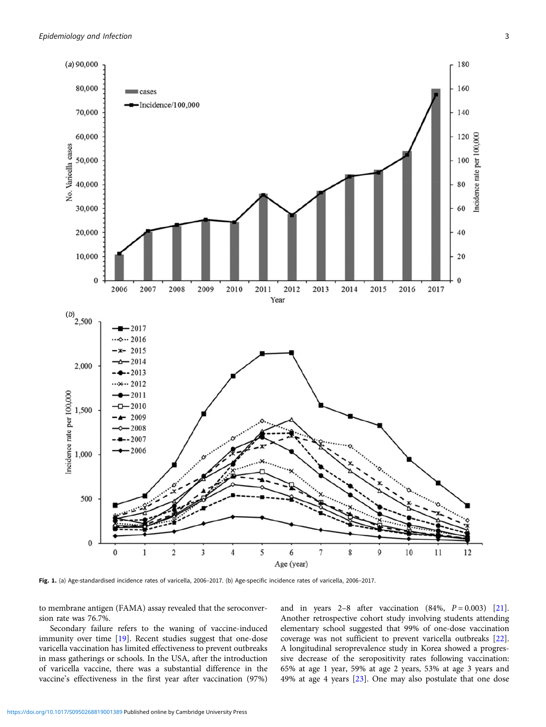<span id="page-2-0"></span>

Fig. 1. (a) Age-standardised incidence rates of varicella, 2006–2017. (b) Age-specific incidence rates of varicella, 2006–2017.

to membrane antigen (FAMA) assay revealed that the seroconversion rate was 76.7%.

Secondary failure refers to the waning of vaccine-induced immunity over time [[19](#page-6-0)]. Recent studies suggest that one-dose varicella vaccination has limited effectiveness to prevent outbreaks in mass gatherings or schools. In the USA, after the introduction of varicella vaccine, there was a substantial difference in the vaccine's effectiveness in the first year after vaccination (97%)

and in years 2–8 after vaccination  $(84\%, P = 0.003)$  [\[21](#page-6-0)]. Another retrospective cohort study involving students attending elementary school suggested that 99% of one-dose vaccination coverage was not sufficient to prevent varicella outbreaks [\[22](#page-6-0)]. A longitudinal seroprevalence study in Korea showed a progressive decrease of the seropositivity rates following vaccination: 65% at age 1 year, 59% at age 2 years, 53% at age 3 years and 49% at age 4 years [[23\]](#page-6-0). One may also postulate that one dose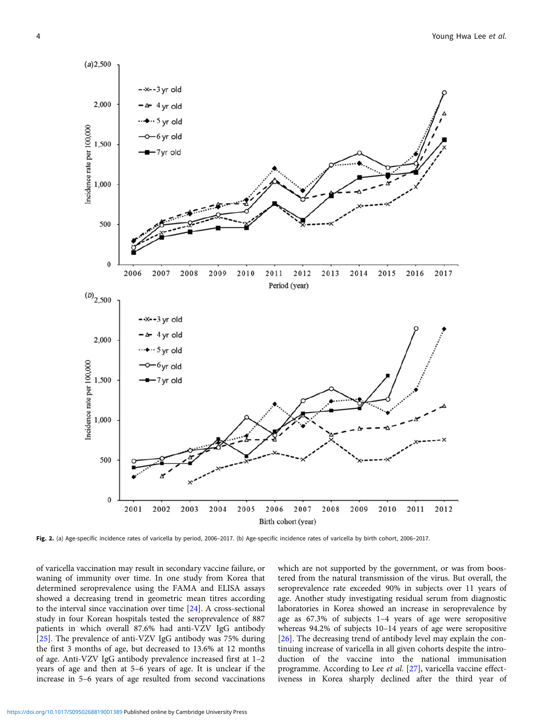<span id="page-3-0"></span>

Fig. 2. (a) Age-specific incidence rates of varicella by period, 2006-2017. (b) Age-specific incidence rates of varicella by birth cohort, 2006-2017.

of varicella vaccination may result in secondary vaccine failure, or waning of immunity over time. In one study from Korea that determined seroprevalence using the FAMA and ELISA assays showed a decreasing trend in geometric mean titres according to the interval since vaccination over time [[24\]](#page-6-0). A cross-sectional study in four Korean hospitals tested the seroprevalence of 887 patients in which overall 87.6% had anti-VZV IgG antibody [[25](#page-6-0)]. The prevalence of anti-VZV IgG antibody was 75% during the first 3 months of age, but decreased to 13.6% at 12 months of age. Anti-VZV IgG antibody prevalence increased first at 1–2 years of age and then at 5–6 years of age. It is unclear if the increase in 5–6 years of age resulted from second vaccinations which are not supported by the government, or was from boostered from the natural transmission of the virus. But overall, the seroprevalence rate exceeded 90% in subjects over 11 years of age. Another study investigating residual serum from diagnostic laboratories in Korea showed an increase in seroprevalence by age as 67.3% of subjects 1–4 years of age were seropositive whereas 94.2% of subjects 10–14 years of age were seropositive [[26\]](#page-6-0). The decreasing trend of antibody level may explain the continuing increase of varicella in all given cohorts despite the introduction of the vaccine into the national immunisation programme. According to Lee et al. [[27\]](#page-6-0), varicella vaccine effectiveness in Korea sharply declined after the third year of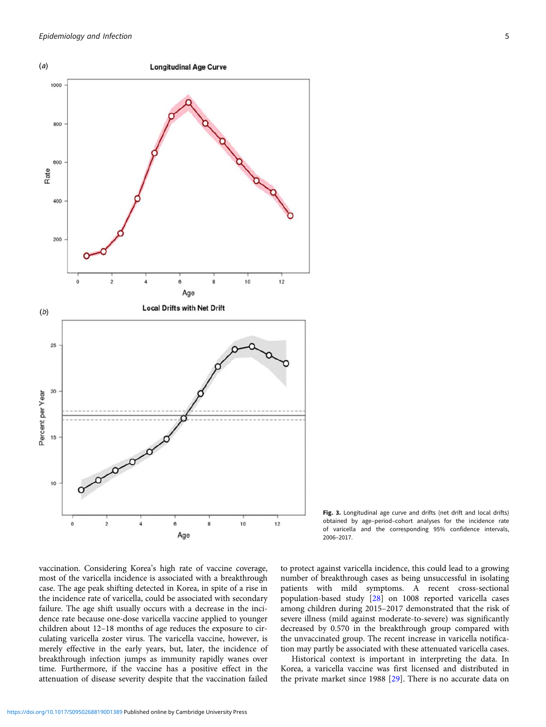<span id="page-4-0"></span>

Fig. 3. Longitudinal age curve and drifts (net drift and local drifts) obtained by age–period–cohort analyses for the incidence rate of varicella and the corresponding 95% confidence intervals, 2006–2017.

vaccination. Considering Korea's high rate of vaccine coverage, most of the varicella incidence is associated with a breakthrough case. The age peak shifting detected in Korea, in spite of a rise in the incidence rate of varicella, could be associated with secondary failure. The age shift usually occurs with a decrease in the incidence rate because one-dose varicella vaccine applied to younger children about 12–18 months of age reduces the exposure to circulating varicella zoster virus. The varicella vaccine, however, is merely effective in the early years, but, later, the incidence of breakthrough infection jumps as immunity rapidly wanes over time. Furthermore, if the vaccine has a positive effect in the attenuation of disease severity despite that the vaccination failed to protect against varicella incidence, this could lead to a growing number of breakthrough cases as being unsuccessful in isolating patients with mild symptoms. A recent cross-sectional population-based study [\[28](#page-6-0)] on 1008 reported varicella cases among children during 2015–2017 demonstrated that the risk of severe illness (mild against moderate-to-severe) was significantly decreased by 0.570 in the breakthrough group compared with the unvaccinated group. The recent increase in varicella notification may partly be associated with these attenuated varicella cases.

Historical context is important in interpreting the data. In Korea, a varicella vaccine was first licensed and distributed in the private market since 1988 [\[29](#page-6-0)]. There is no accurate data on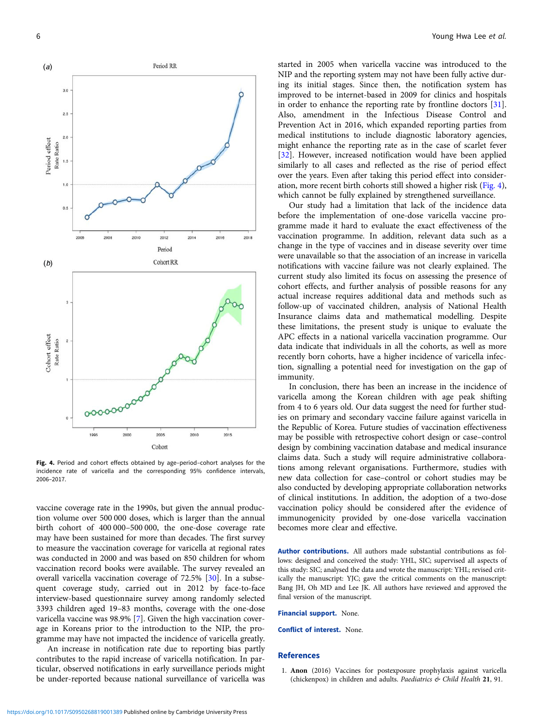<span id="page-5-0"></span>

Fig. 4. Period and cohort effects obtained by age-period-cohort analyses for the incidence rate of varicella and the corresponding 95% confidence intervals, 2006–2017.

vaccine coverage rate in the 1990s, but given the annual production volume over 500 000 doses, which is larger than the annual birth cohort of 400 000–500 000, the one-dose coverage rate may have been sustained for more than decades. The first survey to measure the vaccination coverage for varicella at regional rates was conducted in 2000 and was based on 850 children for whom vaccination record books were available. The survey revealed an overall varicella vaccination coverage of 72.5% [\[30](#page-6-0)]. In a subsequent coverage study, carried out in 2012 by face-to-face interview-based questionnaire survey among randomly selected 3393 children aged 19–83 months, coverage with the one-dose varicella vaccine was 98.9% [[7](#page-6-0)]. Given the high vaccination coverage in Koreans prior to the introduction to the NIP, the programme may have not impacted the incidence of varicella greatly.

An increase in notification rate due to reporting bias partly contributes to the rapid increase of varicella notification. In particular, observed notifications in early surveillance periods might be under-reported because national surveillance of varicella was started in 2005 when varicella vaccine was introduced to the NIP and the reporting system may not have been fully active during its initial stages. Since then, the notification system has improved to be internet-based in 2009 for clinics and hospitals in order to enhance the reporting rate by frontline doctors [\[31](#page-6-0)]. Also, amendment in the Infectious Disease Control and Prevention Act in 2016, which expanded reporting parties from medical institutions to include diagnostic laboratory agencies, might enhance the reporting rate as in the case of scarlet fever [[32\]](#page-6-0). However, increased notification would have been applied similarly to all cases and reflected as the rise of period effect over the years. Even after taking this period effect into consideration, more recent birth cohorts still showed a higher risk (Fig. 4), which cannot be fully explained by strengthened surveillance.

Our study had a limitation that lack of the incidence data before the implementation of one-dose varicella vaccine programme made it hard to evaluate the exact effectiveness of the vaccination programme. In addition, relevant data such as a change in the type of vaccines and in disease severity over time were unavailable so that the association of an increase in varicella notifications with vaccine failure was not clearly explained. The current study also limited its focus on assessing the presence of cohort effects, and further analysis of possible reasons for any actual increase requires additional data and methods such as follow-up of vaccinated children, analysis of National Health Insurance claims data and mathematical modelling. Despite these limitations, the present study is unique to evaluate the APC effects in a national varicella vaccination programme. Our data indicate that individuals in all the cohorts, as well as more recently born cohorts, have a higher incidence of varicella infection, signalling a potential need for investigation on the gap of immunity.

In conclusion, there has been an increase in the incidence of varicella among the Korean children with age peak shifting from 4 to 6 years old. Our data suggest the need for further studies on primary and secondary vaccine failure against varicella in the Republic of Korea. Future studies of vaccination effectiveness may be possible with retrospective cohort design or case–control design by combining vaccination database and medical insurance claims data. Such a study will require administrative collaborations among relevant organisations. Furthermore, studies with new data collection for case–control or cohort studies may be also conducted by developing appropriate collaboration networks of clinical institutions. In addition, the adoption of a two-dose vaccination policy should be considered after the evidence of immunogenicity provided by one-dose varicella vaccination becomes more clear and effective.

Author contributions. All authors made substantial contributions as follows: designed and conceived the study: YHL, SIC; supervised all aspects of this study: SIC; analysed the data and wrote the manuscript: YHL; revised critically the manuscript: YJC; gave the critical comments on the manuscript: Bang JH, Oh MD and Lee JK. All authors have reviewed and approved the final version of the manuscript.

Financial support. None.

Conflict of interest. None.

# **References**

1. Anon (2016) Vaccines for postexposure prophylaxis against varicella (chickenpox) in children and adults. Paediatrics & Child Health 21, 91.